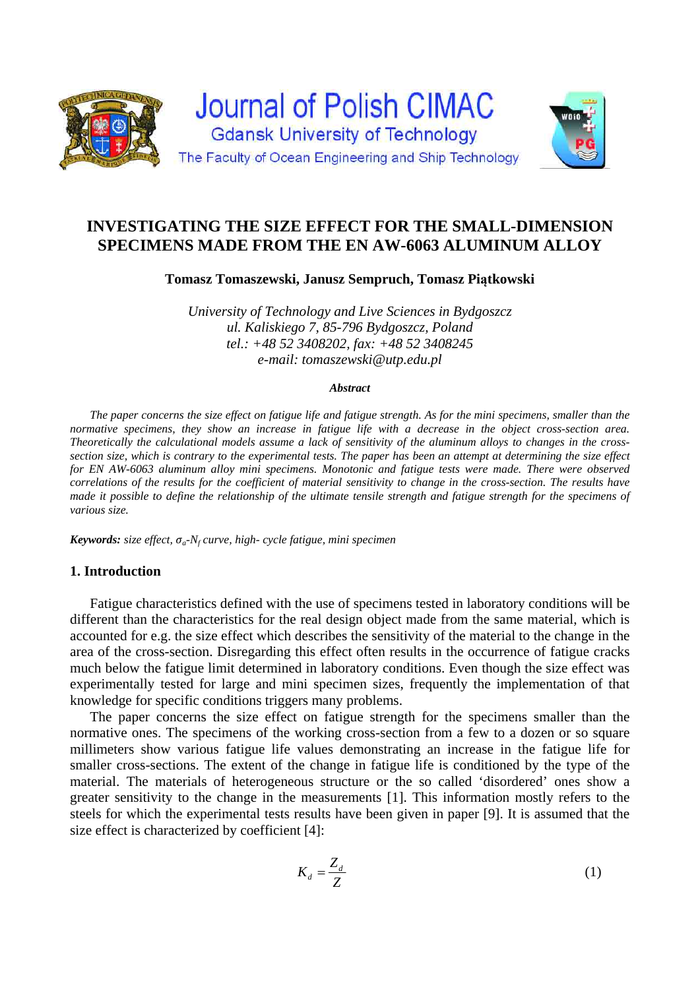

# **INVESTIGATING THE SIZE EFFECT FOR THE SMALL-DIMENSION SPECIMENS MADE FROM THE EN AW-6063 ALUMINUM ALLOY**

**Tomasz Tomaszewski, Janusz Sempruch, Tomasz Piątkowski** 

*University of Technology and Live Sciences in Bydgoszcz ul. Kaliskiego 7, 85-796 Bydgoszcz, Poland tel.: +48 52 3408202, fax: +48 52 3408245 e-mail: tomaszewski@utp.edu.pl*

#### *Abstract*

*The paper concerns the size effect on fatigue life and fatigue strength. As for the mini specimens, smaller than the normative specimens, they show an increase in fatigue life with a decrease in the object cross-section area. Theoretically the calculational models assume a lack of sensitivity of the aluminum alloys to changes in the crosssection size, which is contrary to the experimental tests. The paper has been an attempt at determining the size effect for EN AW-6063 aluminum alloy mini specimens. Monotonic and fatigue tests were made. There were observed correlations of the results for the coefficient of material sensitivity to change in the cross-section. The results have made it possible to define the relationship of the ultimate tensile strength and fatigue strength for the specimens of various size.* 

*Keywords: size effect, σa*-*Nf curve, high- cycle fatigue, mini specimen* 

# **1. Introduction**

Fatigue characteristics defined with the use of specimens tested in laboratory conditions will be different than the characteristics for the real design object made from the same material, which is accounted for e.g. the size effect which describes the sensitivity of the material to the change in the area of the cross-section. Disregarding this effect often results in the occurrence of fatigue cracks much below the fatigue limit determined in laboratory conditions. Even though the size effect was experimentally tested for large and mini specimen sizes, frequently the implementation of that knowledge for specific conditions triggers many problems.

The paper concerns the size effect on fatigue strength for the specimens smaller than the normative ones. The specimens of the working cross-section from a few to a dozen or so square millimeters show various fatigue life values demonstrating an increase in the fatigue life for smaller cross-sections. The extent of the change in fatigue life is conditioned by the type of the material. The materials of heterogeneous structure or the so called 'disordered' ones show a greater sensitivity to the change in the measurements [1]. This information mostly refers to the steels for which the experimental tests results have been given in paper [9]. It is assumed that the size effect is characterized by coefficient [4]:

$$
K_d = \frac{Z_d}{Z} \tag{1}
$$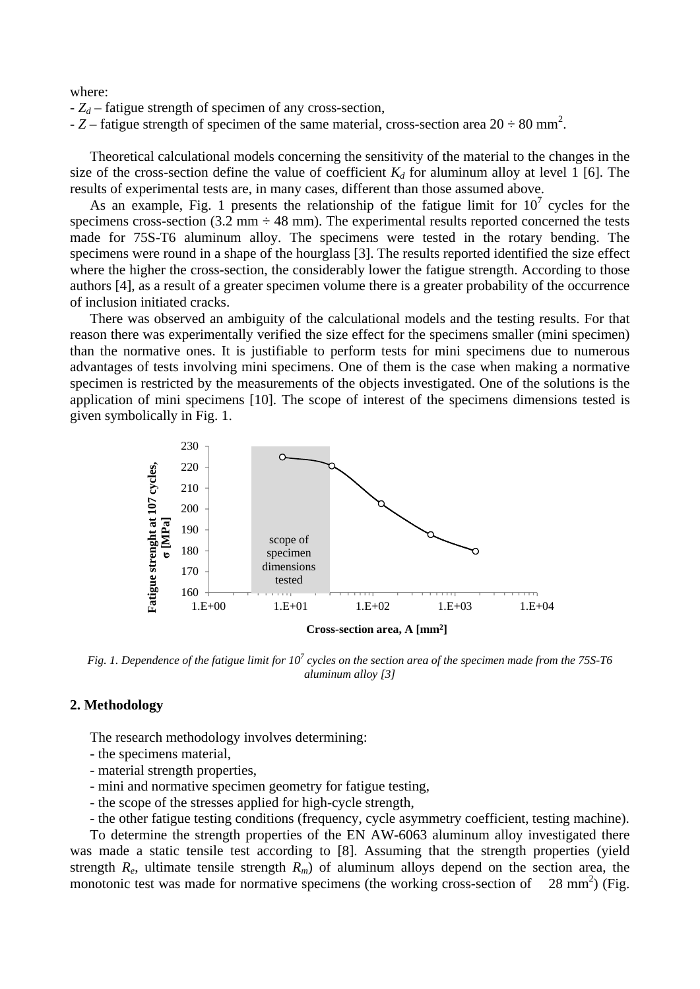where:

- *Zd* – fatigue strength of specimen of any cross-section,

 $- Z$  – fatigue strength of specimen of the same material, cross-section area  $20 \div 80$  mm<sup>2</sup>.

Theoretical calculational models concerning the sensitivity of the material to the changes in the size of the cross-section define the value of coefficient  $K_d$  for aluminum alloy at level 1 [6]. The results of experimental tests are, in many cases, different than those assumed above.

As an example, Fig. 1 presents the relationship of the fatigue limit for  $10^7$  cycles for the specimens cross-section (3.2 mm  $\div$  48 mm). The experimental results reported concerned the tests made for 75S-T6 aluminum alloy. The specimens were tested in the rotary bending. The specimens were round in a shape of the hourglass [3]. The results reported identified the size effect where the higher the cross-section, the considerably lower the fatigue strength. According to those authors [4], as a result of a greater specimen volume there is a greater probability of the occurrence of inclusion initiated cracks.

There was observed an ambiguity of the calculational models and the testing results. For that reason there was experimentally verified the size effect for the specimens smaller (mini specimen) than the normative ones. It is justifiable to perform tests for mini specimens due to numerous advantages of tests involving mini specimens. One of them is the case when making a normative specimen is restricted by the measurements of the objects investigated. One of the solutions is the application of mini specimens [10]. The scope of interest of the specimens dimensions tested is given symbolically in Fig. 1.



Fig. 1. Dependence of the fatigue limit for 10<sup>7</sup> cycles on the section area of the specimen made from the 75S-T6 *aluminum alloy [3]* 

# **2. Methodology**

The research methodology involves determining:

- the specimens material,
- material strength properties,
- mini and normative specimen geometry for fatigue testing,
- the scope of the stresses applied for high-cycle strength,
- the other fatigue testing conditions (frequency, cycle asymmetry coefficient, testing machine).

To determine the strength properties of the EN AW-6063 aluminum alloy investigated there was made a static tensile test according to [8]. Assuming that the strength properties (yield strength  $R_e$ , ultimate tensile strength  $R_m$ ) of aluminum alloys depend on the section area, the monotonic test was made for normative specimens (the working cross-section of  $28 \text{ mm}^2$ ) (Fig.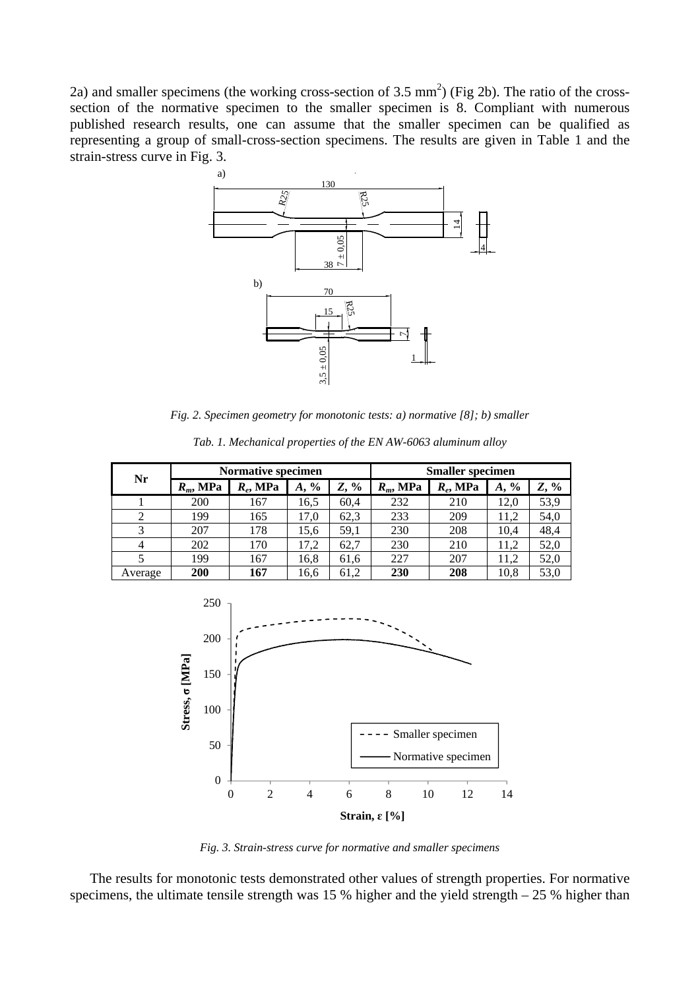2a) and smaller specimens (the working cross-section of 3.5 mm<sup>2</sup>) (Fig 2b). The ratio of the crosssection of the normative specimen to the smaller specimen is 8. Compliant with numerous published research results, one can assume that the smaller specimen can be qualified as representing a group of small-cross-section specimens. The results are given in Table 1 and the strain-stress curve in Fig. 3.



*Fig. 2. Specimen geometry for monotonic tests: a) normative [8]; b) smaller* 

| Nr      | <b>Normative specimen</b> |             |                     |         | <b>Smaller</b> specimen |             |            |         |
|---------|---------------------------|-------------|---------------------|---------|-------------------------|-------------|------------|---------|
|         | $R_m$ , MPa               | $R_e$ , MPa | $\frac{6}{9}$<br>A, | $Z, \%$ | $R_m$ , MPa             | $R_e$ , MPa | $\%$<br>А, | $Z, \%$ |
|         | 200                       | 167         | 16,5                | 60.4    | 232                     | 210         | 12.0       | 53,9    |
|         | 199                       | 165         | 17,0                | 62,3    | 233                     | 209         | 11.2       | 54,0    |
| 3       | 207                       | 178         | 15.6                | 59,1    | 230                     | 208         | 10.4       | 48,4    |
| 4       | 202                       | 170         | 17,2                | 62,7    | 230                     | 210         | 11.2       | 52,0    |
|         | 199                       | 167         | 16,8                | 61,6    | 227                     | 207         | 11.2       | 52,0    |
| Average | <b>200</b>                | 167         | 16,6                | 61,2    | 230                     | 208         | 10,8       | 53,0    |

*Tab. 1. Mechanical properties of the EN AW-6063 aluminum alloy* 



*Fig. 3. Strain-stress curve for normative and smaller specimens* 

The results for monotonic tests demonstrated other values of strength properties. For normative specimens, the ultimate tensile strength was 15 % higher and the yield strength  $-25$  % higher than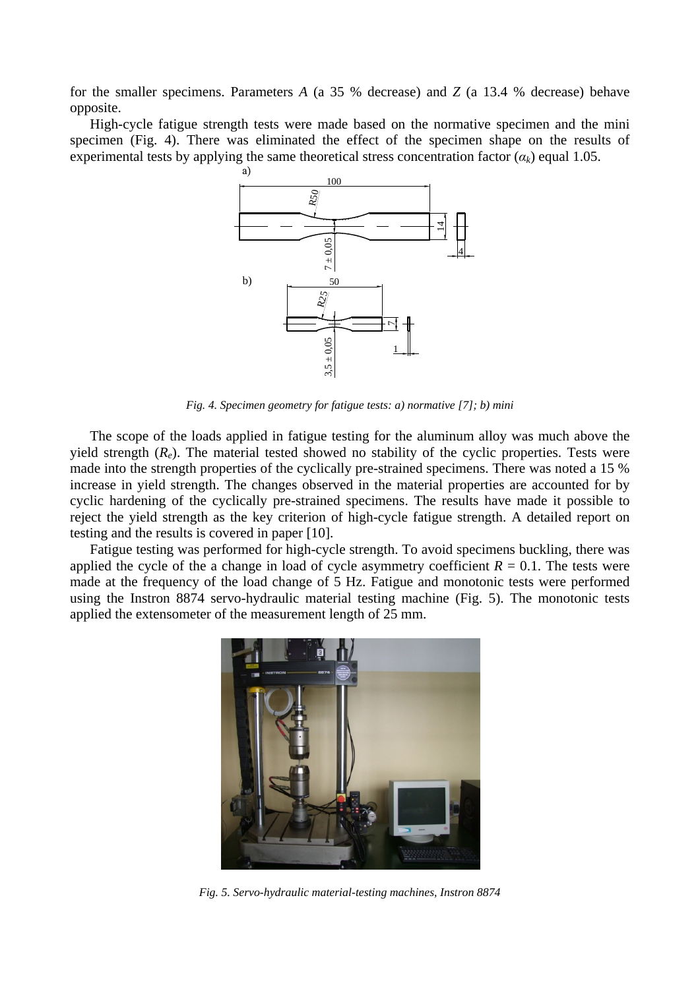for the smaller specimens. Parameters *A* (a 35 % decrease) and *Z* (a 13.4 % decrease) behave opposite.

High-cycle fatigue strength tests were made based on the normative specimen and the mini specimen (Fig. 4). There was eliminated the effect of the specimen shape on the results of experimental tests by applying the same theoretical stress concentration factor  $(a_k)$  equal 1.05.



*Fig. 4. Specimen geometry for fatigue tests: a) normative [7]; b) mini* 

The scope of the loads applied in fatigue testing for the aluminum alloy was much above the yield strength (*Re*). The material tested showed no stability of the cyclic properties. Tests were made into the strength properties of the cyclically pre-strained specimens. There was noted a 15 % increase in yield strength. The changes observed in the material properties are accounted for by cyclic hardening of the cyclically pre-strained specimens. The results have made it possible to reject the yield strength as the key criterion of high-cycle fatigue strength. A detailed report on testing and the results is covered in paper [10].

Fatigue testing was performed for high-cycle strength. To avoid specimens buckling, there was applied the cycle of the a change in load of cycle asymmetry coefficient  $R = 0.1$ . The tests were made at the frequency of the load change of 5 Hz. Fatigue and monotonic tests were performed using the Instron 8874 servo-hydraulic material testing machine (Fig. 5). The monotonic tests applied the extensometer of the measurement length of 25 mm.



*Fig. 5. Servo-hydraulic material-testing machines, Instron 8874*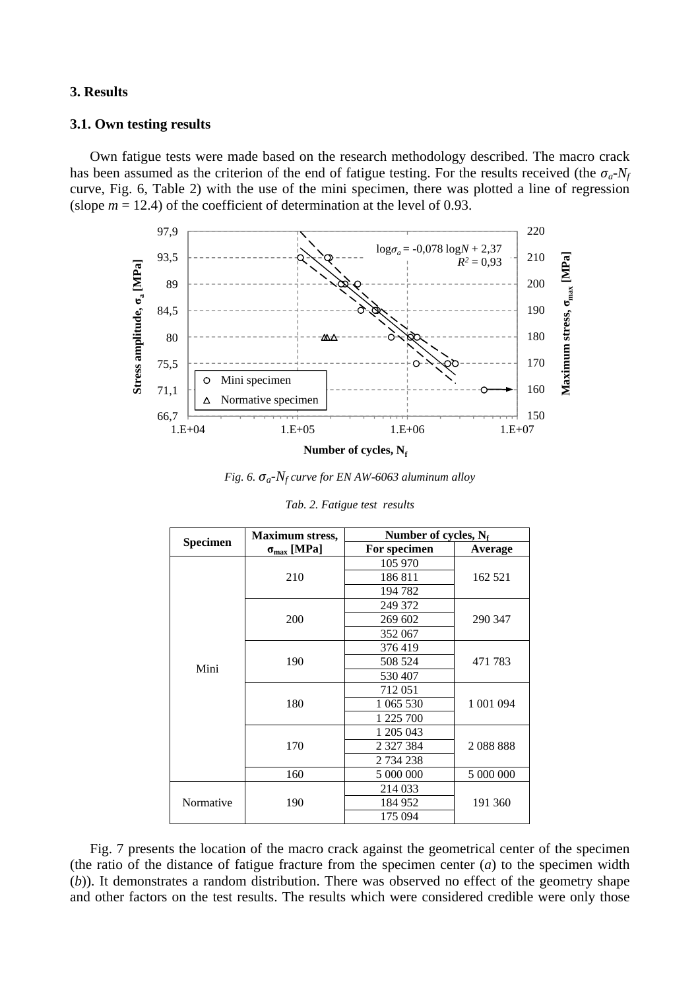## **3. Results**

# **3.1. Own testing results**

Own fatigue tests were made based on the research methodology described. The macro crack has been assumed as the criterion of the end of fatigue testing. For the results received (the  $\sigma_a$ - $N_f$ curve, Fig. 6, Table 2) with the use of the mini specimen, there was plotted a line of regression (slope  $m = 12.4$ ) of the coefficient of determination at the level of 0.93.



Number of cycles, N<sub>f</sub>

*Fig. 6. σa*-*Nf curve for EN AW-6063 aluminum alloy* 

| <b>Specimen</b> | <b>Maximum stress,</b>      | Number of cycles, $N_f$ |                |  |  |
|-----------------|-----------------------------|-------------------------|----------------|--|--|
|                 | $\sigma_{\text{max}}$ [MPa] | For specimen            | <b>Average</b> |  |  |
|                 |                             | 105 970                 |                |  |  |
|                 | 210                         | 186811                  | 162 521        |  |  |
|                 |                             | 194 782                 |                |  |  |
|                 |                             | 249 372                 |                |  |  |
|                 | 200                         | 269 602                 | 290 347        |  |  |
|                 |                             | 352 067                 |                |  |  |
|                 |                             | 376419                  |                |  |  |
| Mini            | 190                         | 508 524                 | 471 783        |  |  |
|                 |                             | 530 407                 |                |  |  |
|                 |                             | 712051                  |                |  |  |
|                 | 180                         | 1 065 530               | 1 001 094      |  |  |
|                 |                             | 1 225 700               |                |  |  |
|                 |                             | 1 205 043               |                |  |  |
|                 | 170                         | 2 3 2 7 3 8 4           | 2088888        |  |  |
|                 |                             | 2 734 238               |                |  |  |
|                 | 160                         | 5 000 000               | 5 000 000      |  |  |
|                 |                             | 214 033                 |                |  |  |
| Normative       | 190                         | 184 952                 | 191 360        |  |  |
|                 |                             | 175 094                 |                |  |  |

*Tab. 2. Fatigue test results* 

Fig. 7 presents the location of the macro crack against the geometrical center of the specimen (the ratio of the distance of fatigue fracture from the specimen center (*a*) to the specimen width (*b*)). It demonstrates a random distribution. There was observed no effect of the geometry shape and other factors on the test results. The results which were considered credible were only those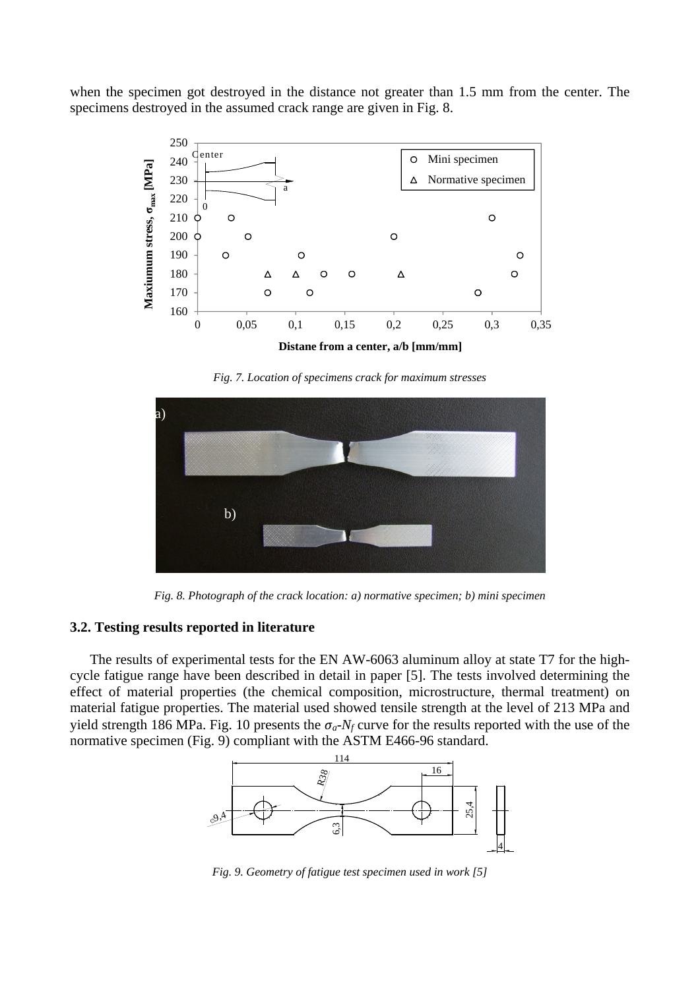when the specimen got destroyed in the distance not greater than 1.5 mm from the center. The specimens destroyed in the assumed crack range are given in Fig. 8.



*Fig. 7. Location of specimens crack for maximum stresses* 



*Fig. 8. Photograph of the crack location: a) normative specimen; b) mini specimen* 

### **3.2. Testing results reported in literature**

The results of experimental tests for the EN AW-6063 aluminum alloy at state T7 for the highcycle fatigue range have been described in detail in paper [5]. The tests involved determining the effect of material properties (the chemical composition, microstructure, thermal treatment) on material fatigue properties. The material used showed tensile strength at the level of 213 MPa and yield strength 186 MPa. Fig. 10 presents the  $\sigma_a$ - $N_f$  curve for the results reported with the use of the normative specimen (Fig. 9) compliant with the ASTM E466-96 standard.



*Fig. 9. Geometry of fatigue test specimen used in work [5]*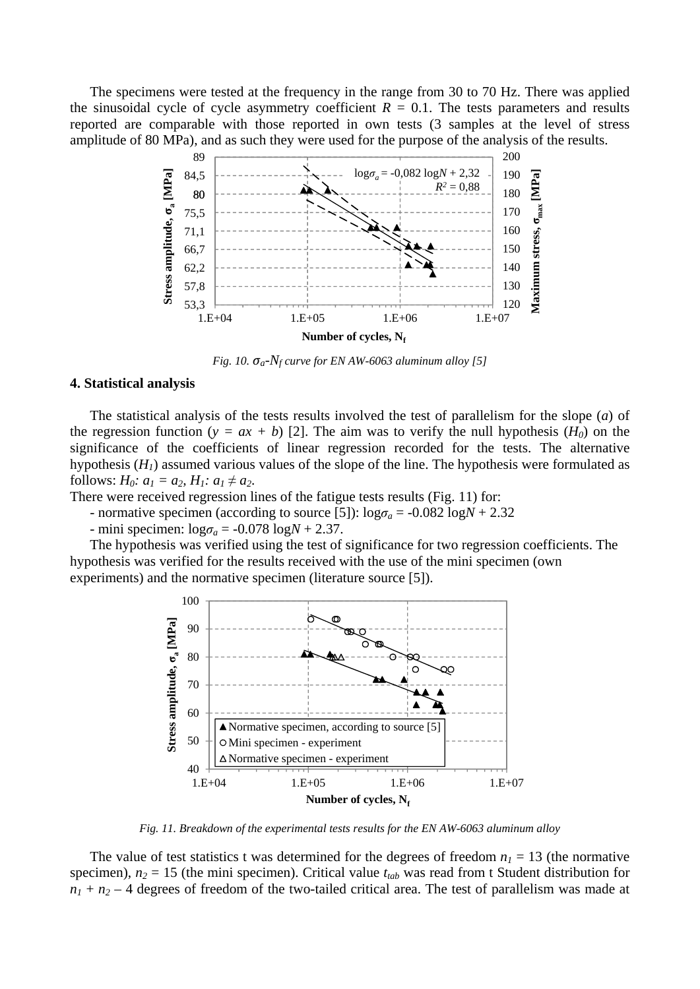The specimens were tested at the frequency in the range from 30 to 70 Hz. There was applied the sinusoidal cycle of cycle asymmetry coefficient  $R = 0.1$ . The tests parameters and results reported are comparable with those reported in own tests (3 samples at the level of stress amplitude of 80 MPa), and as such they were used for the purpose of the analysis of the results.



*Fig. 10.*  $\sigma_a$ - $N_f$  curve for EN AW-6063 aluminum alloy [5]

#### **4. Statistical analysis**

The statistical analysis of the tests results involved the test of parallelism for the slope (*a*) of the regression function ( $y = ax + b$ ) [2]. The aim was to verify the null hypothesis ( $H_0$ ) on the significance of the coefficients of linear regression recorded for the tests. The alternative hypothesis  $(H<sub>1</sub>)$  assumed various values of the slope of the line. The hypothesis were formulated as follows:  $H_0: a_1 = a_2, H_1: a_1 \neq a_2.$ 

There were received regression lines of the fatigue tests results (Fig. 11) for:

- normative specimen (according to source [5]):  $\log \sigma_a = -0.082 \log N + 2.32$ 

- mini specimen:  $\log \sigma_a = -0.078 \log N + 2.37$ .

The hypothesis was verified using the test of significance for two regression coefficients. The hypothesis was verified for the results received with the use of the mini specimen (own experiments) and the normative specimen (literature source [5]).



*Fig. 11. Breakdown of the experimental tests results for the EN AW-6063 aluminum alloy* 

The value of test statistics t was determined for the degrees of freedom  $n_1 = 13$  (the normative specimen),  $n_2 = 15$  (the mini specimen). Critical value  $t_{tab}$  was read from t Student distribution for  $n_1 + n_2 - 4$  degrees of freedom of the two-tailed critical area. The test of parallelism was made at